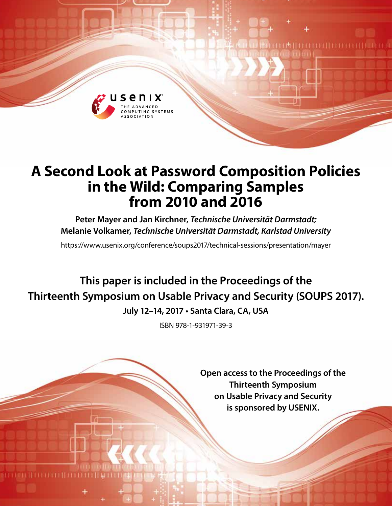

# **A Second Look at Password Composition Policies in the Wild: Comparing Samples from 2010 and 2016**

**Peter Mayer and Jan Kirchner,** *Technische Universität Darmstadt;*  **Melanie Volkamer,** *Technische Universität Darmstadt, Karlstad University*

https://www.usenix.org/conference/soups2017/technical-sessions/presentation/mayer

**This paper is included in the Proceedings of the Thirteenth Symposium on Usable Privacy and Security (SOUPS 2017). July 12–14, 2017 • Santa Clara, CA, USA**

ISBN 978-1-931971-39-3

**Open access to the Proceedings of the Thirteenth Symposium on Usable Privacy and Security is sponsored by USENIX.**

**ILA (HELLELLI) LEELLE**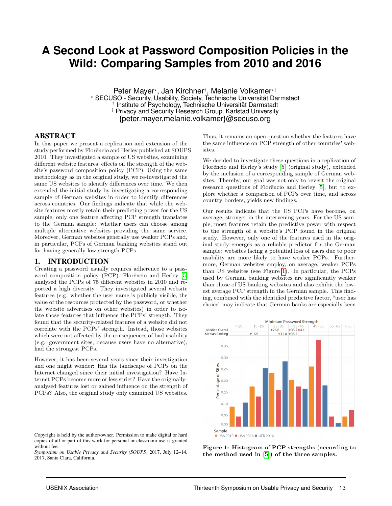# **A Second Look at Password Composition Policies in the Wild: Comparing Samples from 2010 and 2016**

Peter Mayer\*, Jan Kirchner†, Melanie Volkamer\*‡ ? SECUSO - Security, Usability, Society, Technische Universität Darmstadt † Institute of Psychology, Technische Universität Darmstadt ‡ Privacy and Security Research Group, Karlstad University {peter.mayer,melanie.volkamer}@secuso.org

#### ABSTRACT

In this paper we present a replication and extension of the study performed by Florêncio and Herley published at SOUPS 2010. They investigated a sample of US websites, examining different website features' effects on the strength of the website's password composition policy (PCP). Using the same methodology as in the original study, we re-investigated the same US websites to identify differences over time. We then extended the initial study by investigating a corresponding sample of German websites in order to identify differences across countries. Our findings indicate that while the website features mostly retain their predicting power for the US sample, only one feature affecting PCP strength translates to the German sample: whether users can choose among multiple alternative websites providing the same service. Moreover, German websites generally use weaker PCPs and, in particular, PCPs of German banking websites stand out for having generally low strength PCPs.

#### 1. INTRODUCTION

Creating a password usually requires adherence to a pass-word composition policy (PCP). Florêncio and Herley [\[5\]](#page-10-0) analysed the PCPs of 75 different websites in 2010 and reported a high diversity. They investigated several website features (e.g. whether the user name is publicly visible, the value of the resources protected by the password, or whether the website advertises on other websites) in order to isolate those features that influence the PCPs' strength. They found that the security-related features of a website did not correlate with the PCPs' strength. Instead, those websites which were not affected by the consequences of bad usability (e.g. government sites, because users have no alternative), had the strongest PCPs.

However, it has been several years since their investigation and one might wonder: Has the landscape of PCPs on the Internet changed since their initial investigation? Have Internet PCPs become more or less strict? Have the originallyanalysed features lost or gained influence on the strength of PCPs? Also, the original study only examined US websites.

Copyright is held by the author/owner. Permission to make digital or hard copies of all or part of this work for personal or classroom use is granted without fee.

*Symposium on Usable Privacy and Security (SOUPS)* 2017, July 12–14, 2017, Santa Clara, California.

Thus, it remains an open question whether the features have the same influence on PCP strength of other countries' websites.

We decided to investigate these questions in a replication of Florêncio and Herley's study [\[5\]](#page-10-0) (original study), extended by the inclusion of a corresponding sample of German websites. Thereby, our goal was not only to revisit the original research questions of Florêncio and Herley [\[5\]](#page-10-0), but to explore whether a comparison of PCPs over time, and across country borders, yields new findings.

Our results indicate that the US PCPs have become, on average, stronger in the intervening years. For the US sample, most features retain the predictive power with respect to the strength of a website's PCP found in the original study. However, only one of the features used in the original study emerges as a reliable predictor for the German sample: websites facing a potential loss of users due to poor usability are more likely to have weaker PCPs. Furthermore, German websites employ, on average, weaker PCPs than US websites (see Figure [1\)](#page-1-0). In particular, the PCPs used by German banking websites are significantly weaker than those of US banking websites and also exhibit the lowest average PCP strength in the German sample. This finding, combined with the identified predictive factor, "user has choice" may indicate that German banks are especially keen

<span id="page-1-0"></span>

Figure 1: Histogram of PCP strengths (according to the method used in [\[5\]](#page-10-0)) of the three samples.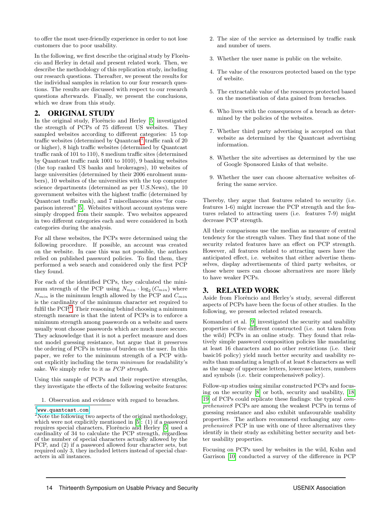to offer the most user-friendly experience in order to not lose customers due to poor usability.

In the following, we first describe the original study by Florêncio and Herley in detail and present related work. Then, we describe the methodology of this replication study, including our research questions. Thereafter, we present the results for the individual samples in relation to our four research questions. The results are discussed with respect to our research questions afterwards. Finally, we present the conclusions, which we draw from this study.

#### <span id="page-2-2"></span>2. ORIGINAL STUDY

In the original study, Florêncio and Herley [\[5\]](#page-10-0) investigated the strength of PCPs of 75 different US websites. They sampled websites according to different categories: 15 top traffic websites (determined by Quantcast<sup>[1](#page-2-0)</sup> traffic rank of  $20$ or higher), 8 high traffic websites (determined by Quantcast traffic rank of 101 to 110), 8 medium traffic sites (determined by Quantcast traffic rank 1001 to 1010), 9 banking websites (the top ranked US banks and brokerages), 10 websites of large universities (determined by their 2006 enrolment numbers), 10 websites of the universities with the top computer science departments (determined as per U.S.News), the 10 government websites with the highest traffic (determined by Quantcast traffic rank), and 7 miscellaneous sites "for comparison interest"[\[5\]](#page-10-0). Websites without account systems were simply dropped from their sample. Two websites appeared in two different categories each and were considered in both categories during the analysis.

For all these websites, the PCPs were determined using the following procedure. If possible, an account was created on the website. In case this was not possible, the authors relied on published password policies. To find them, they performed a web search and considered only the first PCP they found.

For each of the identified PCPs, they calculated the minimum strength of the PCP using  $N_{min} \cdot \log_2 (C_{min})$  where  $N_{min}$  is the minimum length allowed by the PCP and  $C_{min}$ is the cardinality of the minimum character set required to fulfil the PCP<sup>[2](#page-2-1)</sup>. Their reasoning behind choosing a minimum strength measure is that the intent of PCPs is to enforce a minimum strength among passwords on a website and users usually wont choose passwords which are much more secure. They acknowledge that it is not a perfect measure and does not model guessing resistance, but argue that it preserves the ordering of PCPs in terms of burden on the user. In this paper, we refer to the minimum strength of a PCP without explicitly including the term minimum for readability's sake. We simply refer to it as PCP strength.

Using this sample of PCPs and their respective strengths, they investigate the effects of the following website features:

1. Observation and evidence with regard to breaches.

<span id="page-2-0"></span> $^{\rm 1}$ <www.quantcast.com>

- 2. The size of the service as determined by traffic rank and number of users.
- 3. Whether the user name is public on the website.
- 4. The value of the resources protected based on the type of website.
- 5. The extractable value of the resources protected based on the monetisation of data gained from breaches.
- 6. Who lives with the consequences of a breach as determined by the policies of the websites.
- 7. Whether third party advertising is accepted on that website as determined by the Quantcast advertising information.
- 8. Whether the site advertises as determined by the use of Google Sponsored Links of that website.
- 9. Whether the user can choose alternative websites offering the same service.

Thereby, they argue that features related to security (i.e. features 1-6) might increase the PCP strength and the features related to attracting users (i.e. features 7-9) might decrease PCP strength.

All their comparisons use the median as measure of central tendency for the strength values. They find that none of the security related features have an effect on PCP strength. However, all features related to attracting users have the anticipated effect, i.e. websites that either advertise themselves, display advertisements of third party websites, or those where users can choose alternatives are more likely to have weaker PCPs.

#### 3. RELATED WORK

Aside from Florêncio and Herley's study, several different aspects of PCPs have been the focus of other studies. In the following, we present selected related research.

Komanduri et al. [\[9\]](#page-10-1) investigated the security and usability properties of five different constructed (i.e. not taken from the wild) PCPs in an online study. They found that relatively simple password composition policies like mandating at least 16 characters and no other restrictions (i.e. their basic16 policy) yield much better security and usability results than mandating a length of at least 8 characters as well as the usage of uppercase letters, lowercase letters, numbers and symbols (i.e. their comprehensive8 policy).

Follow-up studies using similar constructed PCPs and focusing on the security [\[8\]](#page-10-2) or both, security and usability, [\[18,](#page-11-0) [19\]](#page-11-1) of PCPs could replicate these findings: the typical comprehensive8 PCPs are among the weakest PCPs in terms of guessing resistance and also exhibit unfavourable usability properties. The authors recommend exchanging any comprehensive8 PCP in use with one of three alternatives they identify in their study as exhibiting better security and better usability properties.

Focusing on PCPs used by websites in the wild, Kuhn and Garrison [\[10\]](#page-10-3) conducted a survey of the difference in PCP

<span id="page-2-1"></span><sup>&</sup>lt;sup>2</sup>Note the following two aspects of the original methodology, which were not explicitly mentioned in  $[5]$ :  $(1)$  if a password requires special characters, Florêncio and Herley [\[5\]](#page-10-0) used a cardinality of 34 to calculate the PCP strength, regardless of the number of special characters actually allowed by the PCP, and (2) if a password allowed four character sets, but required only 3, they included letters instead of special characters in all instances.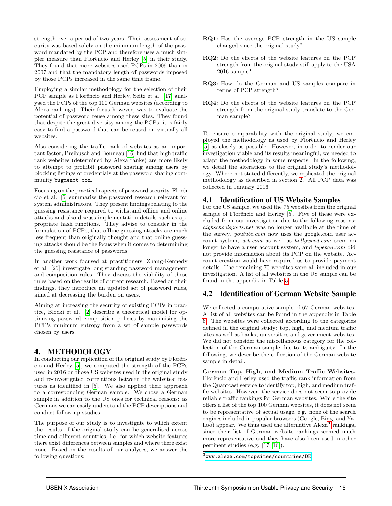strength over a period of two years. Their assessment of security was based solely on the minimum length of the password mandated by the PCP and therefore uses a much sim-pler measure than Florêncio and Herley [\[5\]](#page-10-0) in their study. They found that more websites used PCPs in 2009 than in 2007 and that the mandatory length of passwords imposed by those PCPs increased in the same time frame.

Employing a similar methodology for the selection of their PCP sample as Florêncio and Herley, Seitz et al. [\[17\]](#page-11-2) analysed the PCPs of the top 100 German websites (according to Alexa rankings). Their focus however, was to evaluate the potential of password reuse among these sites. They found that despite the great diversity among the PCPs, it is fairly easy to find a password that can be reused on virtually all websites.

Also considering the traffic rank of websites as an important factor, Preibusch and Bonneau [\[16\]](#page-10-4) find that high traffic rank websites (determined by Alexa ranks) are more likely to attempt to prohibit password sharing among users by blocking listings of credentials at the password sharing community bugmenot.com.

Focusing on the practical aspects of password security, Florêncio et al. [\[6\]](#page-10-5) summarise the password research relevant for system administrators. They present findings relating to the guessing resistance required to withstand offline and online attacks and also discuss implementation details such as appropriate hash functions. They advise to consider in the formulation of PCPs, that offline guessing attacks are much less frequent than originally thought and that online guessing attacks should be the focus when it comes to determining the guessing resistance of passwords.

In another work focused at practitioners, Zhang-Kennedy et al. [\[25\]](#page-11-3) investigate long standing password management and composition rules. They discuss the viability of these rules based on the results of current research. Based on their findings, they introduce an updated set of password rules, aimed at decreasing the burden on users.

Aiming at increasing the security of existing PCPs in practice, Blocki et al. [\[2\]](#page-10-6) describe a theoretical model for optimising password composition policies by maximising the PCP's minimum entropy from a set of sample passwords chosen by users.

#### 4. METHODOLOGY

In conducting our replication of the original study by Florêncio and Herley [\[5\]](#page-10-0), we computed the strength of the PCPs used in 2016 on those US websites used in the original study and re-investigated correlations between the websites' features as identified in [\[5\]](#page-10-0). We also applied their approach to a corresponding German sample. We chose a German sample in addition to the US ones for technical reasons: as Germans we can easily understand the PCP descriptions and conduct follow-up studies.

The purpose of our study is to investigate to which extent the results of the original study can be generalised across time and different countries, i.e. for which website features there exist differences between samples and where there exist none. Based on the results of our analyses, we answer the following questions:

- RQ1: Has the average PCP strength in the US sample changed since the original study?
- RQ2: Do the effects of the website features on the PCP strength from the original study still apply to the USA 2016 sample?
- RQ3: How do the German and US samples compare in terms of PCP strength?
- RQ4: Do the effects of the website features on the PCP strength from the original study translate to the German sample?

To ensure comparability with the original study, we employed the methodology as used by Florêncio and Herley [\[5\]](#page-10-0) as closely as possible. However, in order to render our investigation viable and its results meaningful, we needed to adapt the methodology in some respects. In the following, we detail the alterations to the original study's methodology. Where not stated differently, we replicated the original methodology as described in section [2.](#page-2-2) All PCP data was collected in January 2016.

#### 4.1 Identification of US Website Samples

For the US sample, we used the 75 websites from the original sample of Florêncio and Herley [\[5\]](#page-10-0). Five of these were excluded from our investigation due to the following reasons: highschoolsports.net was no longer available at the time of the survey, youtube.com now uses the google.com user account system, ask.com as well as hollywood.com seem no longer to have a user account system, and typepad.com did not provide information about its PCP on the website. Account creation would have required us to provide payment details. The remaining 70 websites were all included in our investigation. A list of all websites in the US sample can be found in the appendix in Table [5.](#page-12-0)

# 4.2 Identification of German Website Sample

We collected a comparative sample of 67 German websites. A list of all websites can be found in the appendix in Table [6.](#page-14-0) The websites were collected according to the categories defined in the original study: top, high, and medium traffic sites as well as banks, universities and government websites. We did not consider the miscellaneous category for the collection of the German sample due to its ambiguity. In the following, we describe the collection of the German website sample in detail.

German Top, High, and Medium Traffic Websites. Florêncio and Herley used the traffic rank information from the Quantcast service to identify top, high, and medium traffic websites. However, the service does not seem to provide reliable traffic rankings for German websites. While the site offers a list of the top 100 German websites, it does not seem to be representative of actual usage, e.g. none of the search engines included in popular browsers (Google, Bing, and Ya-hoo) appear. We thus used the alternative Alexa<sup>[3](#page-3-0)</sup> rankings, since their list of German website rankings seemed much more representative and they have also been used in other pertinent studies (e.g. [\[17,](#page-11-2) [16\]](#page-10-4)).

<span id="page-3-0"></span> $^3$ <www.alexa.com/topsites/countries/DE>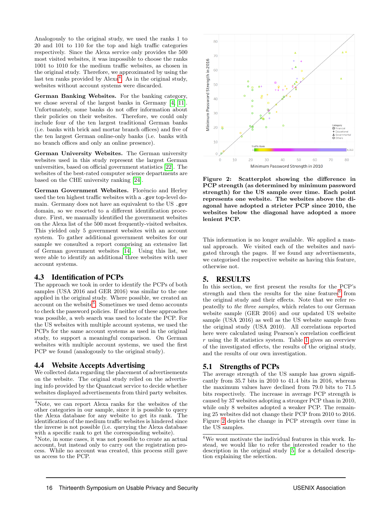Analogously to the original study, we used the ranks 1 to 20 and 101 to 110 for the top and high traffic categories respectively. Since the Alexa service only provides the 500 most visited websites, it was impossible to choose the ranks 1001 to 1010 for the medium traffic websites, as chosen in the original study. Therefore, we approximated by using the last ten ranks provided by Alexa<sup>[4](#page-4-0)</sup>. As in the original study, websites without account systems were discarded.

German Banking Websites. For the banking category, we chose several of the largest banks in Germany [\[4,](#page-10-7) [11\]](#page-10-8). Unfortunately, some banks do not offer information about their policies on their websites. Therefore, we could only include four of the ten largest traditional German banks (i.e. banks with brick and mortar branch offices) and five of the ten largest German online-only banks (i.e. banks with no branch offices and only an online presence).

German University Websites. The German university websites used in this study represent the largest German universities, based on official government statistics [\[22\]](#page-11-4). The websites of the best-rated computer science departments are based on the CHE university ranking [\[24\]](#page-11-5).

German Government Websites. Florêncio and Herley used the ten highest traffic websites with a .gov top-level domain. Germany does not have an equivalent to the US .gov domain, so we resorted to a different identification procedure. First, we manually identified the government websites on the Alexa list of the 500 most frequently-visited websites. This yielded only 5 government websites with an account system. To gather additional government websites for our sample we consulted a report comprising an extensive list of German government websites [\[14\]](#page-10-9). Using this list, we were able to identify an additional three websites with user account systems.

#### 4.3 Identification of PCPs

The approach we took in order to identify the PCPs of both samples (USA 2016 and GER 2016) was similar to the one applied in the original study. Where possible, we created an account on the website<sup>[5](#page-4-1)</sup>. Sometimes we used demo accounts to check the password policies. If neither of these approaches was possible, a web search was used to locate the PCP. For the US websites with multiple account systems, we used the PCPs for the same account systems as used in the original study, to support a meaningful comparison. On German websites with multiple account systems, we used the first PCP we found (analogously to the original study).

#### 4.4 Website Accepts Advertising

We collected data regarding the placement of advertisements on the website. The original study relied on the advertising info provided by the Quantcast service to decide whether websites displayed advertisements from third party websites.

<span id="page-4-3"></span>

Figure 2: Scatterplot showing the difference in PCP strength (as determined by minimum password strength) for the US sample over time. Each point represents one website. The websites above the diagonal have adopted a stricter PCP since 2010, the websites below the diagonal have adopted a more lenient PCP.

This information is no longer available. We applied a manual approach. We visited each of the websites and navigated through the pages. If we found any advertisements, we categorised the respective website as having this feature, otherwise not.

#### 5. RESULTS

In this section, we first present the results for the PCP's strength and then the results for the nine features<sup>[6](#page-4-2)</sup> from the original study and their effects. Note that we refer repeatedly to the three samples, which relates to our German website sample (GER 2016) and our updated US website sample (USA 2016) as well as the US website sample from the original study (USA 2010). All correlations reported here were calculated using Pearson's correlation coefficient  $r$  using the R statistics system. Table [1](#page-5-0) gives an overview of the investigated effects, the results of the original study, and the results of our own investigation.

#### <span id="page-4-4"></span>5.1 Strengths of PCPs

The average strength of the US sample has grown significantly from 35.7 bits in 2010 to 41.4 bits in 2016, whereas the maximum values have declined from 79.0 bits to 71.5 bits respectively. The increase in average PCP strength is caused by 37 websites adopting a stronger PCP than in 2010, while only 8 websites adopted a weaker PCP. The remaining 25 websites did not change their PCP from 2010 to 2016. Figure [2](#page-4-3) depicts the change in PCP strength over time in the US samples.

<span id="page-4-0"></span><sup>4</sup>Note, we can report Alexa ranks for the websites of the other categories in our sample, since it is possible to query the Alexa database for any website to get its rank. The identification of the medium traffic websites is hindered since the inverse is not possible (i.e. querying the Alexa database with a specific rank to get the corresponding website).

<span id="page-4-1"></span><sup>&</sup>lt;sup>5</sup>Note, in some cases, it was not possible to create an actual account, but instead only to carry out the registration process. While no account was created, this process still gave us access to the PCP.

<span id="page-4-2"></span> $^6\mathrm{We}$  wont motivate the individual features in this work. Instead, we would like to refer the interested reader to the description in the original study [\[5\]](#page-10-0) for a detailed description explaining the selection.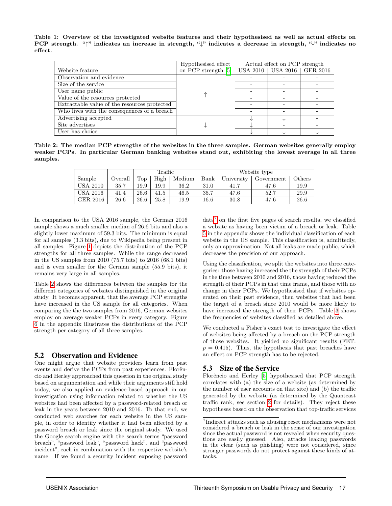<span id="page-5-0"></span>Table 1: Overview of the investigated website features and their hypothesised as well as actual effects on PCP strength. "↑" indicates an increase in strength, "↓" indicates a decrease in strength, "-" indicates no effect.

|                                              | Hypothesised effect | Actual effect on PCP strength  |  |
|----------------------------------------------|---------------------|--------------------------------|--|
| Website feature                              | on PCP strength [5] | USA 2010   USA 2016   GER 2016 |  |
| Observation and evidence                     |                     |                                |  |
| Size of the service                          |                     |                                |  |
| User name public                             |                     |                                |  |
| Value of the resources protected             |                     |                                |  |
| Extractable value of the resources protected |                     |                                |  |
| Who lives with the consequences of a breach  |                     |                                |  |
| Advertising accepted                         |                     |                                |  |
| Site advertises                              |                     |                                |  |
| User has choice                              |                     |                                |  |

<span id="page-5-1"></span>Table 2: The median PCP strengths of the websites in the three samples. German websites generally employ weaker PCPs. In particular German banking websites stand out, exhibiting the lowest average in all three samples.

|                 |         |      | Traffic |        | Website type |            |            |        |  |  |
|-----------------|---------|------|---------|--------|--------------|------------|------------|--------|--|--|
| Sample          | Overall | Top  | High    | Medium | Bank         | University | Government | Others |  |  |
| <b>USA 2010</b> | 35.7    | 19.9 | 19.9    | 36.2   | 31.0         | 41.7       | 47.6       | 19.9   |  |  |
| <b>USA 2016</b> | 41.4    | 26.6 | 41.5    | 46.5   | 35.7         | 47.6       | 52.7       | 29.9   |  |  |
| GER 2016        | 26.6    | 26.6 | 25.8    | 19.9   | 16.6         | 30.8       | 47.6       | 26.6   |  |  |

In comparison to the USA 2016 sample, the German 2016 sample shows a much smaller median of 26.6 bits and also a slightly lower maximum of 59.3 bits. The minimum is equal for all samples (3.3 bits), due to Wikipedia being present in all samples. Figure [1](#page-1-0) depicts the distribution of the PCP strengths for all three samples. While the range decreased in the US samples from 2010 (75.7 bits) to 2016 (68.1 bits) and is even smaller for the German sample (55.9 bits), it remains very large in all samples.

Table [2](#page-5-1) shows the differences between the samples for the different categories of websites distinguished in the original study. It becomes apparent, that the average PCP strengths have increased in the US sample for all categories. When comparing the the two samples from 2016, German websites employ on average weaker PCPs in every category. Figure [6](#page-16-0) in the appendix illustrates the distributions of the PCP strength per category of all three samples.

#### <span id="page-5-3"></span>5.2 Observation and Evidence

One might argue that website providers learn from past events and derive the PCPs from past experiences. Florêncio and Herley approached this question in the original study based on argumentation and while their arguments still hold today, we also applied an evidence-based approach in our investigation using information related to whether the US websites had been affected by a password-related breach or leak in the years between 2010 and 2016. To that end, we conducted web searches for each website in the US sample, in order to identify whether it had been affected by a password breach or leak since the original study. We used the Google search engine with the search terms "password breach", "password leak", "password hack", and "password incident", each in combination with the respective website's name. If we found a security incident exposing password

data<sup>[7](#page-5-2)</sup> on the first five pages of search results, we classified a website as having been victim of a breach or leak. Table [5](#page-12-0) in the appendix shows the individual classification of each website in the US sample. This classification is, admittedly, only an approximation. Not all leaks are made public, which decreases the precision of our approach.

Using the classification, we split the websites into three categories: those having increased the the strength of their PCPs in the time between 2010 and 2016, those having reduced the strength of their PCPs in that time frame, and those with no change in their PCPs. We hypothesised that if websites operated on their past evidence, then websites that had been the target of a breach since 2010 would be more likely to have increased the strength of their PCPs. Table [3](#page-6-0) shows the frequencies of websites classified as detailed above.

We conducted a Fisher's exact test to investigate the effect of websites being affected by a breach on the PCP strength of those websites. It yielded no significant results (FET:  $p = 0.415$ . Thus, the hypothesis that past breaches have an effect on PCP strength has to be rejected.

#### 5.3 Size of the Service

Florêncio and Herley [\[5\]](#page-10-0) hypothesised that PCP strength correlates with (a) the size of a website (as determined by the number of user accounts on that site) and (b) the traffic generated by the website (as determined by the Quantcast traffic rank, see section [2](#page-2-2) for details). They reject these hypotheses based on the observation that top-traffic services

<span id="page-5-2"></span><sup>7</sup> Indirect attacks such as abusing reset mechanisms were not considered a breach or leak in the sense of our investigation since the actual password is not revealed when security questions are easily guessed. Also, attacks leaking passwords in the clear (such as phishing) were not considered, since stronger passwords do not protect against these kinds of attacks.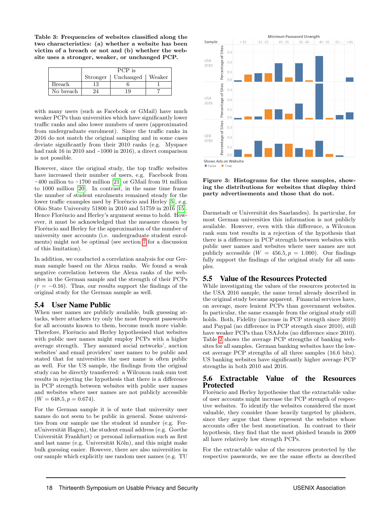<span id="page-6-0"></span>Table 3: Frequencies of websites classified along the two characteristics: (a) whether a website has been victim of a breach or not and (b) whether the website uses a stronger, weaker, or unchanged PCP.

|               | PCP is   |                    |  |  |  |  |  |
|---------------|----------|--------------------|--|--|--|--|--|
|               | Stronger | Unchanged   Weaker |  |  |  |  |  |
| <b>Breach</b> | 13       |                    |  |  |  |  |  |
| No breach     |          |                    |  |  |  |  |  |

with many users (such as Facebook or GMail) have much weaker PCPs than universities which have significantly lower traffic ranks and also lower numbers of users (approximated from undergraduate enrolment). Since the traffic ranks in 2016 do not match the original sampling and in some cases deviate significantly from their 2010 ranks (e.g. Myspace had rank 16 in 2010 and ~1000 in 2016), a direct comparison is not possible.

However, since the original study, the top traffic websites have increased their number of users, e.g. Facebook from  $\sim$ 400 million to  $\sim$ 1700 million [\[21\]](#page-11-6) or GMail from 91 million to 1000 million [\[20\]](#page-11-7). In contrast, in the same time frame the number of student enrolments remained steady for the lower traffic examples used by Florêncio and Herley [\[5\]](#page-10-0), e.g. Ohio State University 51800 in 2010 and 51759 in 2016 [\[15\]](#page-10-10). Hence Florêncio and Herley's argument seems to hold. However, it must be acknowledged that the measure chosen by Florêncio and Herley for the approximation of the number of university user accounts (i.e. undergraduate student enrolments) might not be optimal (see section [7](#page-9-0) for a discussion of this limitation).

In addition, we conducted a correlation analysis for our German sample based on the Alexa ranks. We found a weak negative correlation between the Alexa ranks of the websites in the German sample and the strength of their PCPs  $(r = -0.16)$ . Thus, our results support the findings of the original study for the German sample as well.

#### 5.4 User Name Public

When user names are publicly available, bulk guessing attacks, where attackers try only the most frequent passwords for all accounts known to them, become much more viable. Therefore, Florêncio and Herley hypothesised that websites with public user names might employ PCPs with a higher average strength. They assumed social networks', auction websites' and email providers' user names to be public and stated that for universities the user name is often public as well. For the US sample, the findings from the original study can be directly transferred: a Wilcoxon rank sum test results in rejecting the hypothesis that there is a difference in PCP strength between websites with public user names and websites where user names are not publicly accessible  $(W = 648.5, p = 0.674).$ 

For the German sample it is of note that university user names do not seem to be public in general. Some universities from our sample use the student id number (e.g. FernUniversität Hagen), the student email address (e.g. Goethe Universität Frankfurt) or personal information such as first and last name (e.g. Universität Köln), and this might make bulk guessing easier. However, there are also universities in our sample which explicitly use random user names (e.g. TU

<span id="page-6-1"></span>

Figure 3: Histograms for the three samples, showing the distributions for websites that display third party advertisements and those that do not.

Darmstadt or Universität des Saarlandes). In particular, for most German universities this information is not publicly available. However, even with this difference, a Wilcoxon rank sum test results in a rejection of the hypothesis that there is a difference in PCP strength between websites with public user names and websites where user names are not publicly accessible  $(W = 456.5, p = 1.000)$ . Our findings fully support the findings of the original study for all samples.

#### 5.5 Value of the Resources Protected

While investigating the values of the resources protected in the USA 2016 sample, the same trend already described in the original study became apparent. Financial services have, on average, more lenient PCPs than government websites. In particular, the same example from the original study still holds. Both, Fidelity (increase in PCP strength since 2010) and Paypal (no difference in PCP strength since 2010), still have weaker PCPs than USAJobs (no difference since 2010). Table [2](#page-5-1) shows the average PCP strengths of banking websites for all samples. German banking websites have the lowest average PCP strengths of all three samples (16.6 bits). US banking websites have significantly higher average PCP strengths in both 2010 and 2016.

#### 5.6 Extractable Value of the Resources Protected

Florêncio and Herley hypothesise that the extractable value of user accounts might increase the PCP strength of respective websites. To identify the websites considered the most valuable, they consider those heavily targeted by phishers, since they argue that these represent the websites whose accounts offer the best monetisation. In contrast to their hypothesis, they find that the most phished brands in 2009 all have relatively low strength PCPs.

For the extractable value of the resources protected by the respective passwords, we see the same effects as described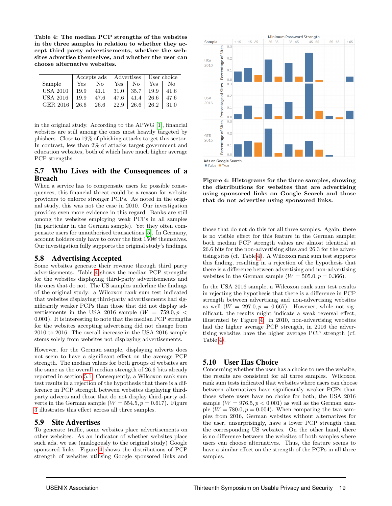<span id="page-7-0"></span>Table 4: The median PCP strengths of the websites in the three samples in relation to whether they accept third party advertisements, whether the websites advertise themselves, and whether the user can choose alternative websites.

|                 | Accepts ads |      |      | Advertises       | User choice |      |  |
|-----------------|-------------|------|------|------------------|-------------|------|--|
| Sample          | Yes         | Nο   | Yes  | $\rm N_{\Omega}$ | Yes         | No   |  |
| <b>USA 2010</b> | 19.9        | 41.1 | 31.0 | 35.7             | 19.9        | 41.6 |  |
| <b>USA 2016</b> | 19.9        | 47.6 | 47.6 | 41.4             | 26.6        | 47.6 |  |
| GER 2016        | 26.6        | 26.6 | 22.9 | 26.6             | 26.2        | 31.0 |  |

in the original study. According to the APWG [\[1\]](#page-10-11), financial websites are still among the ones most heavily targeted by phishers. Close to 19% of phishing attacks target this sector. In contrast, less than 2% of attacks target government and education websites, both of which have much higher average PCP strengths.

#### 5.7 Who Lives with the Consequences of a Breach

When a service has to compensate users for possible consequences, this financial threat could be a reason for website providers to enforce stronger PCPs. As noted in the original study, this was not the case in 2010. Our investigation provides even more evidence in this regard. Banks are still among the websites employing weak PCPs in all samples (in particular in the German sample). Yet they often compensate users for unauthorised transactions [\[5\]](#page-10-0). In Germany, account holders only have to cover the first  $150\epsilon$  themselves. Our investigation fully supports the original study's findings.

# 5.8 Advertising Accepted

Some websites generate their revenue through third party advertisements. Table [4](#page-7-0) shows the median PCP strengths for the websites displaying third-party advertisements and the ones that do not. The US samples underline the findings of the original study: a Wilcoxon rank sum test indicated that websites displaying third-party advertisements had significantly weaker PCPs than those that did not display advertisements in the USA 2016 sample  $(W = 759.0, p <$ 0.001). It is interesting to note that the median PCP strengths for the websites accepting advertising did not change from 2010 to 2016. The overall increase in the USA 2016 sample stems solely from websites not displaying advertisements.

However, for the German sample, displaying adverts does not seem to have a significant effect on the average PCP strength. The median values for both groups of websites are the same as the overall median strength of 26.6 bits already reported in section [5.1.](#page-4-4) Consequently, a Wilcoxon rank sum test results in a rejection of the hypothesis that there is a difference in PCP strength between websites displaying thirdparty adverts and those that do not display third-party adverts in the German sample  $(W = 554.5, p = 0.617)$ . Figure [3](#page-6-1) illustrates this effect across all three samples.

#### 5.9 Site Advertises

To generate traffic, some websites place advertisements on other websites. As an indicator of whether websites place such ads, we use (analogously to the original study) Google sponsored links. Figure [4](#page-7-1) shows the distributions of PCP strength of websites utilising Google sponsored links and

<span id="page-7-1"></span>

Figure 4: Histograms for the three samples, showing the distributions for websites that are advertising using sponsored links on Google Search and those that do not advertise using sponsored links.

those that do not do this for all three samples. Again, there is no visible effect for this feature in the German sample; both median PCP strength values are almost identical at 26.6 bits for the non-advertising sites and 26.3 for the advertising sites (cf. Table [4\)](#page-7-0). A Wilcoxon rank sum test supports this finding, resulting in a rejection of the hypothesis that there is a difference between advertising and non-advertising websites in the German sample  $(W = 505.0, p = 0.366)$ .

In the USA 2016 sample, a Wilcoxon rank sum test results in rejecting the hypothesis that there is a difference in PCP strength between advertising and non-advertising websites as well  $(W = 297.0, p = 0.667)$ . However, while not significant, the results might indicate a weak reversal effect, illustrated by Figure [4:](#page-7-1) in 2010, non-advertising websites had the higher average PCP strength, in 2016 the advertising websites have the higher average PCP strength (cf. Table [4\)](#page-7-0).

# 5.10 User Has Choice

Concerning whether the user has a choice to use the website, the results are consistent for all three samples. Wilcoxon rank sum tests indicated that websites where users can choose between alternatives have significantly weaker PCPs than those where users have no choice for both, the USA 2016 sample  $(W = 976.5, p < 0.001)$  as well as the German sample  $(W = 780.0, p = 0.004)$ . When comparing the two samples from 2016, German websites without alternatives for the user, unsurprisingly, have a lower PCP strength than the corresponding US websites. On the other hand, there is no difference between the websites of both samples where users can choose alternatives. Thus, the feature seems to have a similar effect on the strength of the PCPs in all three samples.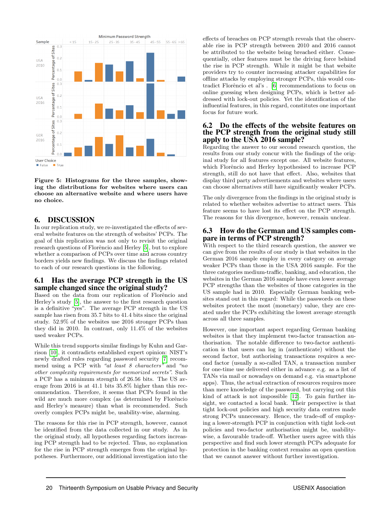

Figure 5: Histograms for the three samples, showing the distributions for websites where users can choose an alternative website and where users have no choice.

#### 6. DISCUSSION

In our replication study, we re-investigated the effects of several website features on the strength of websites' PCPs. The goal of this replication was not only to revisit the original research questions of Florêncio and Herley [\[5\]](#page-10-0), but to explore whether a comparison of PCPs over time and across country borders yields new findings. We discuss the findings related to each of our research questions in the following.

#### 6.1 Has the average PCP strength in the US sample changed since the original study?

Based on the data from our replication of Florêncio and Herley's study [\[5\]](#page-10-0), the answer to the first research question is a definitive "yes". The average PCP strength in the US sample has risen from 35.7 bits to 41.4 bits since the original study. 52.9% of the websites use 2016 stronger PCPs than they did in 2010. In contrast, only 11.4% of the websites used weaker PCPs.

While this trend supports similar findings by Kuhn and Garrison [\[10\]](#page-10-3), it contradicts established expert opinion: NIST's newly drafted rules regarding password security [\[7\]](#page-10-12) recommend using a PCP with "at least 8 characters" and "no other complexity requirements for memorized secrets". Such a PCP has a minimum strength of 26.56 bits. The US average from 2016 is at 41.1 bits 35.8% higher than this recommendation. Therefore, it seems that PCPs found in the wild are much more complex (as determined by Florêncio and Herley's measure) than what is recommended. Such overly complex PCPs might be, usability-wise, alarming.

The reasons for this rise in PCP strength, however, cannot be identified from the data collected in our study. As in the original study, all hypotheses regarding factors increasing PCP strength had to be rejected. Thus, no explanation for the rise in PCP strength emerges from the original hypotheses. Furthermore, our additional investigation into the

effects of breaches on PCP strength reveals that the observable rise in PCP strength between 2010 and 2016 cannot be attributed to the website being breached either. Consequentially, other features must be the driving force behind the rise in PCP strength. While it might be that website providers try to counter increasing attacker capabilities for offline attacks by employing stronger PCPs, this would con-tradict Florêncio et al's . [\[6\]](#page-10-5) recommendations to focus on online guessing when designing PCPs, which is better addressed with lock-out policies. Yet the identification of the influential features, in this regard, constitutes one important focus for future work.

#### 6.2 Do the effects of the website features on the PCP strength from the original study still apply to the USA 2016 sample?

Regarding the answer to our second research question, the results from our study concur with the findings of the original study for all features except one. All website features, which Florêncio and Herley hypothesised to increase PCP strength, still do not have that effect. Also, websites that display third party advertisements and websites where users can choose alternatives still have significantly weaker PCPs.

The only divergence from the findings in the original study is related to whether websites advertise to attract users. This feature seems to have lost its effect on the PCP strength. The reasons for this divergence, however, remain unclear.

#### <span id="page-8-0"></span>6.3 How do the German and US samples compare in terms of PCP strength?

With respect to the third research question, the answer we can give from the results of our study is that websites in the German 2016 sample employ in every category on average weaker PCPs than those in the USA 2016 sample. For the three categories medium-traffic, banking, and education, the websites in the German 2016 sample have even lower average PCP strengths than the websites of those categories in the US sample had in 2010. Especially German banking websites stand out in this regard: While the passwords on these websites protect the most (monetary) value, they are created under the PCPs exhibiting the lowest average strength across all three samples.

However, one important aspect regarding German banking websites is that they implement two-factor transaction authorisation. The notable difference to two-factor authentication is that users can log in (authenticate) without the second factor, but authorising transactions requires a second factor (usually a so-called TAN, a transaction number for one-time use delivered either in advance e.g. as a list of TANs via mail or nowadays on demand e.g. via smartphone apps). Thus, the actual extraction of resources requires more than mere knowledge of the password, but carrying out this kind of attack is not impossible [\[12\]](#page-10-13). To gain further insight, we contacted a local bank. Their perspective is that tight lock-out policies and high security data centres made strong PCPs unnecessary. Hence, the trade-off of employing a lower-strength PCP in conjunction with tight lock-out policies and two-factor authorisation might be, usabilitywise, a favourable trade-off. Whether users agree with this perspective and find such lower strength PCPs adequate for protection in the banking context remains an open question that we cannot answer without further investigation.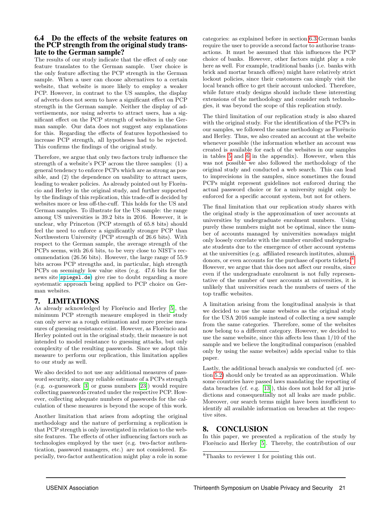#### 6.4 Do the effects of the website features on the PCP strength from the original study translate to the German sample?

The results of our study indicate that the effect of only one feature translates to the German sample. User choice is the only feature affecting the PCP strength in the German sample. When a user can choose alternatives to a certain website, that website is more likely to employ a weaker PCP. However, in contrast to the US samples, the display of adverts does not seem to have a significant effect on PCP strength in the German sample. Neither the display of advertisements, nor using adverts to attract users, has a significant effect on the PCP strength of websites in the German sample. Our data does not suggest any explanations for this. Regarding the effects of features hypothesised to increase PCP strength, all hypotheses had to be rejected. This confirms the findings of the original study.

Therefore, we argue that only two factors truly influence the strength of a website's PCP across the three samples: (1) a general tendency to enforce PCPs which are as strong as possible, and (2) the dependence on usability to attract users, leading to weaker policies. As already pointed out by Florêncio and Herley in the original study, and further supported by the findings of this replication, this trade-off is decided by websites more or less off-the-cuff. This holds for the US and German samples. To illustrate for the US sample: the range among US universities is 39.2 bits in 2016. However, it is unclear, why Princeton (PCP strength of 65.8 bits) should feel the need to enforce a significantly stronger PCP than Northwestern University (PCP strength of 26.6 bits). With respect to the German sample, the average strength of the PCPs seems, with 26.6 bits, to be very close to NIST's recommendation (26.56 bits). However, the large range of 55.9 bits across PCP strengths and, in particular, high strength PCPs on seemingly low value sites (e.g. 47.6 bits for the news site <spiegel.de>) give rise to doubt regarding a more systematic approach being applied to PCP choice on German websites.

# <span id="page-9-0"></span>7. LIMITATIONS

As already acknowledged by Florêncio and Herley [\[5\]](#page-10-0), the minimum PCP strength measure employed in their study can only serve as a rough estimation and more precise measures of guessing resistance exist. However, as Florêncio and Herley pointed out in the original study, their measure is not intended to model resistance to guessing attacks, but only complexity of the resulting passwords. Since we adopt this measure to perform our replication, this limitation applies to our study as well.

We also decided to not use any additional measures of password security, since any reliable estimate of a PCPs strength (e.g.  $\alpha$ -guesswork [\[3\]](#page-10-14) or guess numbers [\[23\]](#page-11-8)) would require collecting passwords created under the respective PCP. However, collecting adequate numbers of passwords for the calculation of these measures is beyond the scope of this work.

Another limitation that arises from adopting the original methodology and the nature of performing a replication is that PCP strength is only investigated in relation to the website features. The effects of other influencing factors such as technologies employed by the user (e.g. two-factor authentication, password managers, etc.) are not considered. Especially, two-factor authentication might play a role in some

categories: as explained before in section [6.3](#page-8-0) German banks require the user to provide a second factor to authorise transactions. It must be assumed that this influences the PCP choice of banks. However, other factors might play a role here as well. For example, traditional banks (i.e. banks with brick and mortar branch offices) might have relatively strict lockout policies, since their customers can simply visit the local branch office to get their account unlocked. Therefore, while future study designs should include these interesting extensions of the methodology and consider such technologies, it was beyond the scope of this replication study.

The third limitation of our replication study is also shared with the original study. For the identification of the PCPs in our samples, we followed the same methodology as Florêncio and Herley. Thus, we also created an account at the website whenever possible (the information whether an account was created is available for each of the websites in our samples in tables [5](#page-12-0) and [6](#page-14-0) in the appendix). However, when this was not possible we also followed the methodology of the original study and conducted a web search. This can lead to imprecisions in the samples, since sometimes the found PCPs might represent guidelines not enforced during the actual password choice or for a university might only be enforced for a specific account system, but not for others.

The final limitation that our replication study shares with the original study is the approximation of user accounts at universities by undergraduate enrolment numbers. Using purely these numbers might not be optimal, since the number of accounts managed by universities nowadays might only loosely correlate with the number enrolled undergraduate students due to the emergence of other account systems at the universities (e.g. affiliated research institutes, alumni, donors, or even accounts for the purchase of sports tickets)<sup>[8](#page-9-1)</sup>. However, we argue that this does not affect our results, since even if the undergraduate enrolment is not fully representative of the number of user accounts at universities, it is unlikely that universities reach the numbers of users of the top traffic websites.

A limitation arising from the longitudinal analysis is that we decided to use the same websites as the original study for the USA 2016 sample instead of collecting a new sample from the same categories. Therefore, some of the websites now belong to a different category. However, we decided to use the same website, since this affects less than 1/10 of the sample and we believe the longitudinal comparison (enabled only by using the same websites) adds special value to this paper.

Lastly, the additional breach analysis we conducted (cf. section [5.2\)](#page-5-3) should only be treated as an approximation. While some countries have passed laws mandating the reporting of data breaches (cf. e.g. [\[13\]](#page-10-15)), this does not hold for all jurisdictions and consequentially not all leaks are made public. Moreover, our search terms might have been insufficient to identify all available information on breaches at the respective sites.

# 8. CONCLUSION

In this paper, we presented a replication of the study by Florêncio and Herley [\[5\]](#page-10-0). Thereby, the contribution of our

<span id="page-9-1"></span><sup>8</sup>Thanks to reviewer 1 for pointing this out.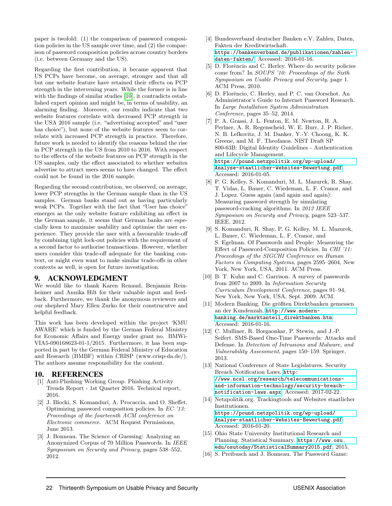paper is twofold: (1) the comparison of password composition policies in the US sample over time, and (2) the comparison of password composition policies across country borders (i.e. between Germany and the US).

Regarding the first contribution, it became apparent that US PCPs have become, on average, stronger and that all but one website feature have retained their effects on PCP strength in the intervening years. While the former is in line with the findings of similar studies [\[10\]](#page-10-3), it contradicts established expert opinion and might be, in terms of usability, an alarming finding. Moreover, our results indicate that two website features correlate with decreased PCP strength in the USA 2016 sample (i.e. "advertising accepted" and "user has choice"), but none of the website features seem to correlate with increased PCP strength in practice. Therefore, future work is needed to identify the reasons behind the rise in PCP strength in the US from 2010 to 2016. With respect to the effects of the website features on PCP strength in the US samples, only the effect associated to whether websites advertise to attract users seems to have changed. The effect could not be found in the 2016 sample.

Regarding the second contribution, we observed, on average, lower PCP strengths in the German sample than in the US samples. German banks stand out as having particularly weak PCPs. Together with the fact that "User has choice" emerges as the only website feature exhibiting an effect in the German sample, it seems that German banks are especially keen to maximise usability and optimise the user experience. They provide the user with a favourable trade-off by combining tight lock-out policies with the requirement of a second factor to authorise transactions. However, whether users consider this trade-off adequate for the banking context, or might even want to make similar trade-offs in other contexts as well, is open for future investigation.

#### 9. ACKNOWLEDGMENT

We would like to thank Karen Renaud, Benjamin Reinheimer and Annika Hilt for their valuable input and feedback. Furthermore, we thank the anonymous reviewers and our shepherd Mary Ellen Zurko for their construcutve and helpful feedback.

This work has been developed within the project 'KMU AWARE' which is funded by the German Federal Ministry for Economic Affairs and Energy under grant no. BMWi-VIA5-090168623-01-1/2015. Furthermore, it has been supported in part by the German Federal Ministry of Education and Research (BMBF) within CRISP (www.crisp-da.de/). The authors assume responsibility for the content.

#### 10. REFERENCES

- <span id="page-10-11"></span>[1] Anti-Phishing Working Group. Phishing Activity Trends Report - 1st Quarter 2016. Technical report, 2016.
- <span id="page-10-6"></span>[2] J. Blocki, S. Komanduri, A. Procaccia, and O. Sheffet. Optimizing password composition policies. In EC '13: Proceedings of the fourteenth ACM conference on Electronic commerce. ACM Request Permissions, June 2013.
- <span id="page-10-14"></span>[3] J. Bonneau. The Science of Guessing: Analyzing an Anonymized Corpus of 70 Million Passwords. In IEEE Symposium on Security and Privacy, pages 538–552, 2012.
- <span id="page-10-7"></span>[4] Bundesverband deutscher Banken e.V. Zahlen, Daten, Fakten der Kreditwirtschaft. [https://bankenverband.de/publikationen/zahlen](https://bankenverband.de/publikationen/ zahlen-daten-fakten/)[daten-fakten/](https://bankenverband.de/publikationen/ zahlen-daten-fakten/). Accessed: 2016-01-16.
- <span id="page-10-0"></span>[5] D. Florêncio and C. Herley. Where do security policies come from? In SOUPS '10: Proceedings of the Sixth Symposium on Usable Privacy and Security, page 1. ACM Press, 2010.
- <span id="page-10-5"></span>[6] D. Florêncio, C. Herley, and P. C. van Oorschot. An Administrator's Guide to Internet Password Research. In Large Installation System Administration Conference, pages 35–52, 2014.
- <span id="page-10-12"></span>[7] P. A. Grassi, J. L. Fenton, E. M. Newton, R. A. Perlner, A. R. Regenscheid, W. E. Burr, J. P. Richer, N. B. Lefkovitz, J. M. Danker, Y.-Y. Choong, K. K. Greene, and M. F. Theofanos. NIST Draft SP 800-63B: Digital Identity Guidelines - Authentication and Lifecycle Management. [https://pound.netzpolitik.org/wp-upload/](https://pound.netzpolitik.org/wp-upload/Analyse-staatlicher-Websites-Bewertung.pdf) [Analyse-staatlicher-Websites-Bewertung.pdf](https://pound.netzpolitik.org/wp-upload/Analyse-staatlicher-Websites-Bewertung.pdf). Accessed: 2016-01-05.
- <span id="page-10-2"></span>[8] P. G. Kelley, S. Komanduri, M. L. Mazurek, R. Shay, T. Vidas, L. Bauer, C. Wiedeman, L. F. Cranor, and J. Lopez. Guess again (and again and again): Measuring password strength by simulating password-cracking algorithms. In 2012 IEEE Symposium on Security and Privacy, pages 523–537. IEEE, 2012.
- <span id="page-10-1"></span>[9] S. Komanduri, R. Shay, P. G. Kelley, M. L. Mazurek, L. Bauer, C. Wiedeman, L. F. Cranor, and S. Egelman. Of Passwords and People: Measuring the Effect of Password-Composition Policies. In CHI '11: Proceedings of the SIGCHI Conference on Human Factors in Computing Systems, pages 2595–2604, New York, New York, USA, 2011. ACM Press.
- <span id="page-10-3"></span>[10] B. T. Kuhn and C. Garrison. A survey of passwords from 2007 to 2009. In Information Security Curriculum Development Conference, pages 91–94, New York, New York, USA, Sept. 2009. ACM.
- <span id="page-10-8"></span>[11] Modern Banking. Die größten Direktbanken gemessen an der Kundenzah. [http://www.modern](http://www.modern-banking.de/marktanteil_ direktbanken.htm)[banking.de/marktanteil\\_direktbanken.htm](http://www.modern-banking.de/marktanteil_ direktbanken.htm). Accessed: 2016-01-16.
- <span id="page-10-13"></span>[12] C. Mulliner, R. Borgaonkar, P. Stewin, and J.-P. Seifert. SMS-Based One-Time Passwords: Attacks and Defense. In Detection of Intrusions and Malware, and Vulnerability Assessment, pages 150–159. Springer, 2013.
- <span id="page-10-15"></span>[13] National Conference of State Legislatures. Security Breach Notification Laws. [http:](http://www.ncsl.org/research/telecommunications-and-information-technology/security-breach-notification-laws.aspx) [//www.ncsl.org/research/telecommunications](http://www.ncsl.org/research/telecommunications-and-information-technology/security-breach-notification-laws.aspx)[and-information-technology/security-breach](http://www.ncsl.org/research/telecommunications-and-information-technology/security-breach-notification-laws.aspx)[notification-laws.aspx](http://www.ncsl.org/research/telecommunications-and-information-technology/security-breach-notification-laws.aspx). Accessed: 2017-02-22.
- <span id="page-10-9"></span>[14] Netzpolitik.org. Trackingtools auf Websites staatlicher Institutionen. [https://pound.netzpolitik.org/wp-upload/](https://pound.netzpolitik.org/wp-upload/Analyse-staatlicher-Websites-Bewertung.pdf) [Analyse-staatlicher-Websites-Bewertung.pdf](https://pound.netzpolitik.org/wp-upload/Analyse-staatlicher-Websites-Bewertung.pdf). Accessed: 2016-01-20.
- <span id="page-10-10"></span>[15] Ohio State University Institutional Research and Planning. Statistical Summary. [https://www.osu.](https://www.osu.edu/osutoday/StatisticalSummary2015.pdf) [edu/osutoday/StatisticalSummary2015.pdf](https://www.osu.edu/osutoday/StatisticalSummary2015.pdf), 2015.
- <span id="page-10-4"></span>[16] S. Preibusch and J. Bonneau. The Password Game: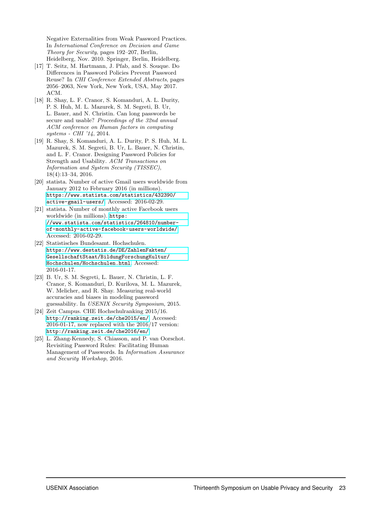Negative Externalities from Weak Password Practices. In International Conference on Decision and Game Theory for Security, pages 192–207, Berlin, Heidelberg, Nov. 2010. Springer, Berlin, Heidelberg.

- <span id="page-11-2"></span>[17] T. Seitz, M. Hartmann, J. Pfab, and S. Souque. Do Differences in Password Policies Prevent Password Reuse? In CHI Conference Extended Abstracts, pages 2056–2063, New York, New York, USA, May 2017. ACM.
- <span id="page-11-0"></span>[18] R. Shay, L. F. Cranor, S. Komanduri, A. L. Durity, P. S. Huh, M. L. Mazurek, S. M. Segreti, B. Ur, L. Bauer, and N. Christin. Can long passwords be secure and usable? Proceedings of the 32nd annual ACM conference on Human factors in computing systems - CHI '14, 2014.
- <span id="page-11-1"></span>[19] R. Shay, S. Komanduri, A. L. Durity, P. S. Huh, M. L. Mazurek, S. M. Segreti, B. Ur, L. Bauer, N. Christin, and L. F. Cranor. Designing Password Policies for Strength and Usability. ACM Transactions on Information and System Security (TISSEC), 18(4):13–34, 2016.
- <span id="page-11-7"></span>[20] statista. Number of active Gmail users worldwide from January 2012 to February 2016 (in millions). [https://www.statista.com/statistics/432390/](https://www.statista.com/statistics/432390/active-gmail-users/) [active-gmail-users/](https://www.statista.com/statistics/432390/active-gmail-users/). Accessed: 2016-02-29.
- <span id="page-11-6"></span>[21] statista. Number of monthly active Facebook users worldwide (in millions). [https:](https://www.statista.com/statistics/264810/number-of-monthly-active-facebook-users-worldwide/) [//www.statista.com/statistics/264810/number](https://www.statista.com/statistics/264810/number-of-monthly-active-facebook-users-worldwide/)[of-monthly-active-facebook-users-worldwide/](https://www.statista.com/statistics/264810/number-of-monthly-active-facebook-users-worldwide/). Accessed: 2016-02-29.
- <span id="page-11-4"></span>[22] Statistisches Bundesamt. Hochschulen. [https://www.destatis.de/DE/ZahlenFakten/](https://www. destatis.de/DE/ZahlenFakten/GesellschaftStaat/BildungForschungKultur/ Hochschulen/Hochschulen.html) [GesellschaftStaat/BildungForschungKultur/](https://www. destatis.de/DE/ZahlenFakten/GesellschaftStaat/BildungForschungKultur/ Hochschulen/Hochschulen.html) [Hochschulen/Hochschulen.html](https://www. destatis.de/DE/ZahlenFakten/GesellschaftStaat/BildungForschungKultur/ Hochschulen/Hochschulen.html). Accessed: 2016-01-17.
- <span id="page-11-8"></span>[23] B. Ur, S. M. Segreti, L. Bauer, N. Christin, L. F. Cranor, S. Komanduri, D. Kurilova, M. L. Mazurek, W. Melicher, and R. Shay. Measuring real-world accuracies and biases in modeling password guessability. In USENIX Security Symposium, 2015.
- <span id="page-11-5"></span>[24] Zeit Campus. CHE Hochschulranking 2015/16. <http://ranking.zeit.de/che2015/en/>. Accessed: 2016-01-17, now replaced with the 2016/17 version: <http://ranking.zeit.de/che2016/en/>.
- <span id="page-11-3"></span>[25] L. Zhang-Kennedy, S. Chiasson, and P. van Oorschot. Revisiting Password Rules: Facilitating Human Management of Passwords. In Information Assurance and Security Workshop, 2016.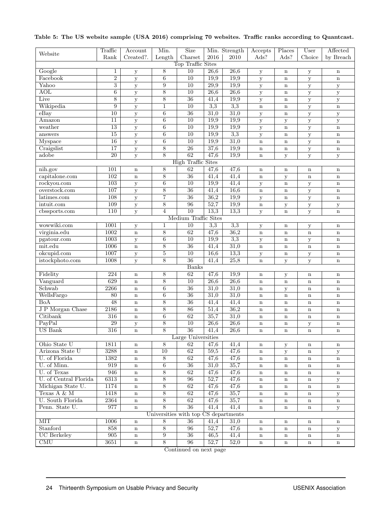|                           | Traffic         | Account           | Min.             | <b>Size</b>                          |                   | Min. Strength     | Accepts      | Places       | User         | Affected     |  |  |
|---------------------------|-----------------|-------------------|------------------|--------------------------------------|-------------------|-------------------|--------------|--------------|--------------|--------------|--|--|
| Website                   | Rank            | Created?.         | Length           | ${\bf Character}$                    | 2016              | 2010              | Ads?         | Ads?         | Choice       | by Breach    |  |  |
|                           |                 |                   |                  | Top Traffic Sites                    |                   |                   |              |              |              |              |  |  |
| Google                    | 1               | $\mathbf y$       | $\overline{8}$   | 10                                   | 26,6              | 26,6              | $\mathbf y$  | $\mathbf n$  | $\mathbf y$  | $\mathbf n$  |  |  |
| Facebook                  | $\overline{2}$  | y                 | $6\phantom{.}6$  | $\overline{10}$                      | 19,9              | 19,9              | $\mathbf y$  | $\bf n$      | $\mathbf y$  | $\mathbf n$  |  |  |
| Yahoo                     | $\overline{3}$  | y                 | $\overline{9}$   | 10                                   | $\overline{29,9}$ | 19,9              | $\mathbf y$  | $\mathbf n$  |              | ${\bf y}$    |  |  |
| <b>AOL</b>                | $\overline{6}$  |                   | $\overline{8}$   | $\overline{10}$                      | $\overline{26,6}$ | 26,6              | $\mathbf y$  | $\mathbf n$  | $\mathbf y$  | $\mathbf y$  |  |  |
| Live                      | $\overline{8}$  | $\mathbf{y}$<br>y | $\overline{8}$   | $\overline{36}$                      | 41,4              | 19,9              | $\mathbf{y}$ | $\bf n$      | $\mathbf y$  | $\mathbf y$  |  |  |
| Wikipedia                 | 9               |                   | 1                | 10                                   | 3,3               | 3,3               | $\mathbf n$  | $\bf n$      | $\mathbf y$  | $\mathbf n$  |  |  |
| $e$ Bay                   | 10              | $\mathbf{y}$      | 6                | $\overline{36}$                      | 31,0              | 31,0              |              |              | $\mathbf y$  |              |  |  |
| Amazon                    |                 | $\mathbf y$       |                  |                                      | 19,9              |                   | $\mathbf y$  | $\mathbf n$  | $\mathbf{y}$ | $\mathbf y$  |  |  |
|                           | 11              | $\mathbf y$       | $\overline{6}$   | 10                                   |                   | 19,9              | $\mathbf y$  | $\mathbf{y}$ | $\mathbf y$  | $\mathbf y$  |  |  |
| weather                   | 13              | $\mathbf y$       | $\overline{6}$   | $\overline{10}$                      | 19,9              | 19,9              | $\mathbf y$  | $\mathbf n$  | $\mathbf{y}$ | $\mathbf n$  |  |  |
| answers                   | $\overline{15}$ | $\mathbf y$       | $\,6\,$          | 10                                   | 19,9              | 3,3               | $\mathbf y$  | $\mathbf n$  | $\mathbf{y}$ | $\mathbf n$  |  |  |
| Myspace                   | 16              | y                 | $\boldsymbol{6}$ | $\overline{10}$                      | 19,9              | 31,0              | $\mathbf n$  | $\mathbf n$  | $\mathbf y$  | $\mathbf n$  |  |  |
| Craigslist                | 17              | y                 | $\overline{8}$   | 26                                   | 37,6              | 19,9              | $\mathbf n$  | $\bf n$      | $\mathbf y$  | $\mathbf n$  |  |  |
| adobe                     | $\overline{20}$ | y                 | 8                | 62                                   | 47,6              | 19,9              | $\mathbf n$  | y            | ${\bf y}$    | $\mathbf y$  |  |  |
| <b>High Traffic Sites</b> |                 |                   |                  |                                      |                   |                   |              |              |              |              |  |  |
| nih.gov                   | 101             | $\mathbf n$       | 8                | 62                                   | 47,6              | 47,6              | $\mathbf n$  | $\bf n$      | $\mathbf n$  | $\mathbf n$  |  |  |
| capitalone.com            | 102             | $\mathbf n$       | 8                | $\overline{36}$                      | 41,4              | 41,4              | $\bf n$      | y            | $\bf n$      | $\mathbf n$  |  |  |
| rockyou.com               | 103             | у                 | $6\phantom{.}6$  | $\overline{10}$                      | 19,9              | 41,4              | у            | $\mathbf n$  | у            | $\mathbf n$  |  |  |
| overstock.com             | 107             | $\mathbf{y}$      | $\overline{8}$   | $\overline{36}$                      | 41,4              | 16,6              | $\mathbf n$  | $\mathbf n$  | $\mathbf y$  | $\bf n$      |  |  |
| latimes.com               | 108             | $\mathbf y$       | $\overline{7}$   | 36                                   | 36,2              | 19,9              | $\mathbf y$  | $\mathbf n$  | $\mathbf{y}$ | $\mathbf n$  |  |  |
| intuit.com                | 109             | $\mathbf y$       | $8\,$            | 96                                   | 52,7              | 19,9              | $\mathbf n$  | $\mathbf y$  | $\mathbf{y}$ | $\mathbf{y}$ |  |  |
| cbssports.com             | 110             | $\mathbf{y}$      | $\overline{4}$   | $\overline{10}$                      | 13,3              | 13,3              | $\mathbf y$  | $\bf n$      | ${\bf y}$    | $\mathbf n$  |  |  |
|                           |                 |                   |                  | Medium Traffic Sites                 |                   |                   |              |              |              |              |  |  |
| wowwiki.com               | 1001            | $\mathbf y$       | $\mathbf{1}$     | 10                                   | 3,3               | $\overline{3,3}$  | $\mathbf y$  | $\mathbf n$  | $\mathbf{y}$ | $\mathbf n$  |  |  |
| virginia.edu              | 1002            | $\bf n$           | $8\,$            | 62                                   | 47,6              | 36,2              | $\mathbf n$  | $\mathbf n$  | $\bf n$      | $\bf n$      |  |  |
| pgatour.com               | 1003            | y                 | $\,6$            | $\overline{10}$                      | 19,9              | $\overline{3,3}$  | $\mathbf y$  | $\mathbf n$  | $\mathbf{y}$ | $\bf n$      |  |  |
| mit.edu                   | 1006            | $\mathbf n$       | $\overline{8}$   | $\overline{36}$                      | 41,4              | 31,0              | $\mathbf n$  | $\mathbf n$  | $\mathbf n$  | $\mathbf n$  |  |  |
| okcupid.com               | 1007            | $\mathbf y$       | $\overline{5}$   | $\overline{10}$                      | 16,6              | 13,3              | $\mathbf y$  | $\bf n$      | $\mathbf{y}$ | $\bf n$      |  |  |
| istockphoto.com           | 1008            | y                 | 8                | $\overline{36}$                      | 41,4              | 25,8              | $\mathbf n$  | y            | $\mathbf{y}$ | $\bf n$      |  |  |
|                           |                 |                   |                  | <b>Banks</b>                         |                   |                   |              |              |              |              |  |  |
| Fidelity                  | 224             | $\mathbf n$       | $8\,$            | 62                                   | 47,6              | 19,9              | $\mathbf n$  |              | $\mathbf n$  | $\mathbf n$  |  |  |
| Vanguard                  | 629             | $\mathbf n$       | $\overline{8}$   | $\overline{10}$                      | $\overline{26,6}$ | 26,6              | $\mathbf n$  | у<br>$\bf n$ | $\mathbf n$  | $\bf n$      |  |  |
| Schwab                    | 2266            | $\mathbf n$       | $\overline{6}$   | $\overline{36}$                      | 31,0              | 31,0              |              |              |              |              |  |  |
| WellsFargo                | 80              |                   | $\,6$            | $\overline{36}$                      | 31,0              | 31,0              | $\mathbf n$  | $\mathbf y$  | $\mathbf n$  | $\mathbf n$  |  |  |
| <b>BoA</b>                | 48              | $\mathbf n$       | $\overline{8}$   | $\overline{36}$                      | 41,4              |                   | $\mathbf n$  | $\mathbf n$  | $\mathbf n$  | $\mathbf n$  |  |  |
|                           | 2186            | $\bf n$           |                  |                                      | 51,4              | 41,4<br>36,2      | $\bf n$      | $\bf n$      | $\mathbf n$  | $\mathbf n$  |  |  |
| J P Morgan Chase          |                 | $\mathbf n$       | $\overline{8}$   | 86                                   |                   |                   | $\mathbf n$  | $\mathbf n$  | $\mathbf n$  | $\mathbf n$  |  |  |
| Citibank                  | 316             | $\mathbf n$       | $\overline{6}$   | 62                                   | 35,7              | 31,0              | $\mathbf n$  | $\mathbf n$  | $\mathbf n$  | $\mathbf n$  |  |  |
| PayPal                    | 29              | $\mathbf y$       | $\overline{8}$   | 10                                   | 26,6              | $\overline{26,6}$ | $\mathbf n$  | $\mathbf n$  | $\mathbf{y}$ | $\mathbf n$  |  |  |
| <b>US</b> Bank            | 316             | $\mathbf n$       | $\overline{8}$   | $\overline{36}$                      | 41,4              | 26,6              | $\mathbf n$  | $\bf n$      | $\bf n$      | $\mathbf n$  |  |  |
|                           |                 |                   |                  | Large Universities                   |                   |                   |              |              |              |              |  |  |
| Ohio State U              | 1811            | $\mathbf n$       | 8                | 62                                   | 47,6              | 41,4              | $\mathbf n$  | У            | $\mathbf n$  | $\mathbf n$  |  |  |
| Arizona State U           | 3288            | $\mathbf n$       | 10               | 62                                   | 59,5              | 47,6              | $\mathbf n$  | $\mathbf y$  | $\mathbf n$  | $\mathbf{y}$ |  |  |
| U. of Florida             | 1382            | $\mathbf n$       | 8                | 62                                   | 47,6              | 47,6              | $\mathbf n$  | $\mathbf n$  | $\mathbf n$  | $\mathbf n$  |  |  |
| U. of Minn.               | 919             | $\mathbf n$       | $\overline{6}$   | 36                                   | 31,0              | 35,7              | $\mathbf n$  | $\mathbf n$  | $\mathbf n$  | $\mathbf n$  |  |  |
| U. of Texas               | 946             | $\mathbf n$       | $\overline{8}$   | 62                                   | 47,6              | 47,6              | $\mathbf n$  | $\mathbf n$  | $\mathbf n$  | $\mathbf n$  |  |  |
| U. of Central Florida     | 6313            | $\mathbf n$       | $\sqrt{8}$       | 96                                   | 52,7              | 47,6              | $\mathbf n$  | $\mathbf n$  | $\mathbf n$  | ${\bf y}$    |  |  |
| Michigan State U.         | 1174            | $\mathbf n$       | 8                | 62                                   | 47,6              | 47,6              | $\mathbf n$  | $\mathbf n$  | $\mathbf n$  | $\mathbf n$  |  |  |
| Texas A & M               | 1418            | $\mathbf n$       | $\overline{8}$   | 62                                   | 47,6              | 35,7              | $\mathbf n$  | $\mathbf n$  | $\mathbf n$  | $\mathbf{y}$ |  |  |
| <b>U.</b> South Florida   | 2364            | $\mathbf n$       | $\overline{8}$   | 62                                   | 47,6              | 35,7              | $\mathbf n$  | $\mathbf n$  | $\mathbf n$  | $\mathbf n$  |  |  |
| Penn. State U.            | 977             | $\mathbf n$       | 8                | $\overline{36}$                      | 41,4              | 41,4              | $\mathbf n$  | $\mathbf n$  | $\mathbf n$  | $\mathbf{y}$ |  |  |
|                           |                 |                   |                  | Universities with top CS departments |                   |                   |              |              |              |              |  |  |
| <b>MIT</b>                | 1006            | $\mathbf n$       | $\overline{8}$   | 36                                   | 41,4              | 31,0              | $\mathbf n$  | $\mathbf n$  | $\mathbf n$  | $\mathbf n$  |  |  |
| Stanford                  | 858             | $\mathbf n$       | $\overline{8}$   | 96                                   | 52,7              | 47,6              | $\mathbf n$  | $\mathbf n$  | $\mathbf n$  | $\mathbf{y}$ |  |  |
| <b>UC</b> Berkeley        | 905             | $\mathbf n$       | $\overline{9}$   | $\overline{36}$                      | 46,5              | 41,4              | $\mathbf n$  | $\mathbf n$  | $\mathbf n$  | $\mathbf n$  |  |  |
| $\overline{\text{CMU}}$   | 3651            | $\mathbf n$       | $\sqrt{8}$       | 96                                   | 52,7              | 52,0              | $\mathbf n$  | $\mathbf n$  | $\mathbf n$  | $\mathbf n$  |  |  |
|                           |                 |                   |                  |                                      |                   |                   |              |              |              |              |  |  |

# <span id="page-12-0"></span>Table 5: The US website sample (USA 2016) comprising 70 websites. Traffic ranks according to Quantcast.

Continued on next page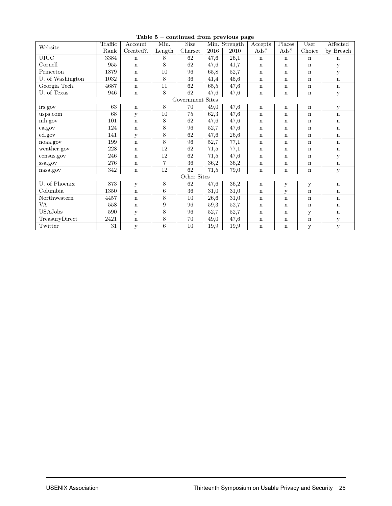|                  | Traffic | Account      | Min.            | <b>Size</b>     |      | $- - - - - - -$<br>Min. Strength | Accepts     | Places      | User         | Affected     |  |  |
|------------------|---------|--------------|-----------------|-----------------|------|----------------------------------|-------------|-------------|--------------|--------------|--|--|
| Website          | Rank    | Created?.    | Length          | $Carset$        | 2016 | 2010                             | Ads?        | Ads?        | Choice       | by Breach    |  |  |
| <b>UIUC</b>      | 3384    | $\mathbf n$  | 8               | 62              | 47,6 | 26,1                             | $\mathbf n$ | $\mathbf n$ | $\mathbf n$  | $\mathbf n$  |  |  |
| Cornell          | 955     | $\mathbf n$  | $8\,$           | 62              | 47,6 | 41,7                             | $\mathbf n$ | $\mathbf n$ | $\mathbf n$  | У            |  |  |
| Princeton        | 1879    | $\mathbf n$  | $\overline{10}$ | 96              | 65,8 | 52,7                             | n           | $\mathbf n$ | $\mathbf n$  | y            |  |  |
| U. of Washington | 1032    | $\mathbf n$  | 8               | $\overline{36}$ | 41,4 | 45,6                             | $\mathbf n$ | $\mathbf n$ | $\mathbf n$  | $\mathbf n$  |  |  |
| Georgia Tech.    | 4687    | $\mathbf n$  | $\overline{11}$ | 62              | 65,5 | 47,6                             | $\mathbf n$ | $\mathbf n$ | $\mathbf n$  | $\mathbf n$  |  |  |
| U. of Texas      | 946     | $\mathbf n$  | 8               | 62              | 47,6 | 47,6                             | $\mathbf n$ | $\mathbf n$ | $\mathbf n$  | у            |  |  |
| Government Sites |         |              |                 |                 |      |                                  |             |             |              |              |  |  |
| irs.gov          | 63      | $\mathbf n$  | 8               | 70              | 49,0 | 47,6                             | $\mathbf n$ | $\mathbf n$ | $\mathbf n$  | у            |  |  |
| usps.com         | 68      | $\mathbf{y}$ | 10              | 75              | 62,3 | 47,6                             | $\mathbf n$ | $\mathbf n$ | $\mathbf n$  | $\mathbf n$  |  |  |
| nih.gov          | 101     | $\mathbf n$  | $\overline{8}$  | 62              | 47,6 | 47,6                             | $\mathbf n$ | $\mathbf n$ | $\mathbf n$  | $\mathbf n$  |  |  |
| ca.gov           | 124     | $\mathbf n$  | 8               | 96              | 52,7 | 47,6                             | $\mathbf n$ | $\mathbf n$ | $\mathbf n$  | $\mathbf n$  |  |  |
| ed.gov           | 141     | $\mathbf{y}$ | $\overline{8}$  | 62              | 47,6 | 26,6                             | $\mathbf n$ | $\mathbf n$ | $\mathbf n$  | $\mathbf n$  |  |  |
| noaa.gov         | 199     | $\mathbf n$  | $\overline{8}$  | 96              | 52,7 | 77,1                             | $\mathbf n$ | $\mathbf n$ | $\mathbf n$  | $\mathbf n$  |  |  |
| weather.gov      | 228     | $\mathbf n$  | $\overline{12}$ | 62              | 71,5 | 77,1                             | $\mathbf n$ | $\mathbf n$ | $\mathbf n$  | $\mathbf n$  |  |  |
| census.gov       | 246     | $\bf n$      | 12              | 62              | 71,5 | 47,6                             | $\mathbf n$ | $\mathbf n$ | $\mathbf n$  | у            |  |  |
| ssa.gov          | 276     | $\mathbf n$  | $\overline{7}$  | 36              | 36,2 | 36,2                             | $\mathbf n$ | $\mathbf n$ | $\mathbf n$  | $\mathbf n$  |  |  |
| nasa.gov         | 342     | $\mathbf n$  | 12              | 62              | 71,5 | 79,0                             | $\mathbf n$ | $\mathbf n$ | $\mathbf n$  | У            |  |  |
|                  |         |              |                 | Other Sites     |      |                                  |             |             |              |              |  |  |
| U. of Phoenix    | 873     | y            | 8               | 62              | 47,6 | 36,2                             | $\mathbf n$ | y           | $\mathbf{y}$ | $\mathbf n$  |  |  |
| Columbia         | 1350    | $\bf n$      | $\sqrt{6}$      | 36              | 31,0 | 31,0                             | $\mathbf n$ | $\mathbf y$ | $\mathbf n$  | $\mathbf n$  |  |  |
| Northwestern     | 4457    | $\mathbf n$  | $\overline{8}$  | 10              | 26,6 | 31,0                             | $\mathbf n$ | $\mathbf n$ | $\mathbf n$  | $\mathbf n$  |  |  |
| VA               | 558     | $\mathbf n$  | $\overline{9}$  | 96              | 59,3 | 52,7                             | $\mathbf n$ | $\mathbf n$ | $\mathbf n$  | $\mathbf n$  |  |  |
| <b>USAJobs</b>   | 590     | $\mathbf{y}$ | 8               | $\overline{96}$ | 52,7 | 52,7                             | $\mathbf n$ | $\mathbf n$ | У            | $\mathbf n$  |  |  |
| TreasuryDirect   | 2421    | $\mathbf n$  | $\overline{8}$  | 70              | 49,0 | 47,6                             | $\mathbf n$ | $\mathbf n$ | $\mathbf n$  | $\mathbf{y}$ |  |  |
| Twitter          | 31      | У            | $\overline{6}$  | 10              | 19,9 | 19,9                             | $\mathbf n$ | $\mathbf n$ | У            | у            |  |  |

Table 5 – continued from previous page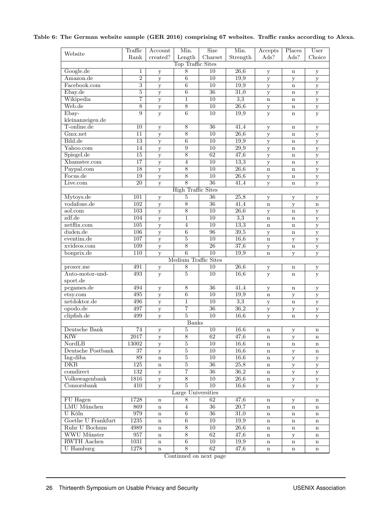#### <span id="page-14-0"></span>Table 6: The German website sample (GER 2016) comprising 67 websites. Traffic ranks according to Alexa.

|                    | Traffic         | Account             | Min.                      | <b>Size</b>     | Min.              | Accepts      | Places            | User         |
|--------------------|-----------------|---------------------|---------------------------|-----------------|-------------------|--------------|-------------------|--------------|
| Website            | Rank            | created?            | Length                    | Charset         | Strength          | Ads?         | Ads?              | Choice       |
|                    |                 |                     | Top Traffic Sites         |                 |                   |              |                   |              |
| Google.de          | 1               | $\mathbf y$         | 8                         | 10              | 26,6              | $\mathbf y$  | $\mathbf n$       | $\mathbf y$  |
| Amazon.de          | $\overline{2}$  | $\mathbf y$         | 6                         | 10              | 19,9              | $\mathbf y$  | y                 | $\mathbf y$  |
| Facebook.com       | $\overline{3}$  | $\mathbf y$         | $\overline{6}$            | 10              | 19,9              | $\mathbf y$  | $\mathbf n$       | y            |
| Ebay.de            | $\overline{5}$  | $\mathbf y$         | $\overline{6}$            | $\overline{36}$ | 31,0              | $\mathbf y$  | $\mathbf n$       | y            |
| Wikipedia          | $\overline{7}$  | $\mathbf y$         | $\mathbf{1}$              | $\overline{10}$ | 3,3               | $\mathbf n$  | $\mathbf n$       | $\mathbf y$  |
| Web.de             | $\overline{8}$  | $\mathbf{y}$        | $\overline{8}$            | 10              | $\overline{26,6}$ | y            | $\mathbf n$       | $\mathbf y$  |
| Ebay-              | 9               | y                   | $6\overline{6}$           | $\overline{10}$ | 19,9              | y            | $\mathbf n$       | $\mathbf{y}$ |
| kleinanzeigen.de   |                 |                     |                           |                 |                   |              |                   |              |
| T-online.de        | 10              | $\mathbf y$         | $\overline{8}$            | 36              | 41,4              | $\mathbf{y}$ | $\mathbf n$       | ${\bf y}$    |
| Gmx.net            | $\overline{11}$ | $\mathbf y$         | $\overline{8}$            | $\overline{10}$ | 26,6              | $\mathbf{y}$ | $\mathbf n$       | ${\bf y}$    |
| Bild.de            | $\overline{13}$ | y                   | $\overline{6}$            | 10              | 19,9              | y            | $\mathbf n$       | y            |
| Yahoo.com          | $\overline{14}$ | $\mathbf{y}$        | $\overline{9}$            | $\overline{10}$ | $\overline{29,9}$ | $\mathbf y$  | $\bf n$           | $\mathbf y$  |
| Spiegel.de         | 15              | $\mathbf y$         | $\overline{8}$            | 62              | 47,6              | $\mathbf y$  | $\mathbf n$       | $\mathbf y$  |
| Xhamster.com       | 17              | $\mathbf y$         | $\overline{4}$            | 10              | 13,3              | y            | $\mathbf n$       | $\mathbf y$  |
| Paypal.com         | 18              | $\mathbf{y}$        | $\overline{8}$            | $\overline{10}$ | $\overline{26,6}$ | $\mathbf n$  | $\mathbf n$       | y            |
| Focus.de           | 19              | $\mathbf y$         | $\overline{8}$            | 10              | $\overline{26,6}$ | $\mathbf{y}$ | $\mathbf n$       | $\mathbf y$  |
| Live.com           | 20              | $\overline{y}$      | $\overline{8}$            | $\overline{36}$ | 41,4              | $\mathbf{y}$ | $\mathbf n$       | $\mathbf{y}$ |
|                    |                 |                     | <b>High Traffic Sites</b> |                 |                   |              |                   |              |
| Mytoys.de          | 101             | y                   | 5                         | 36              | 25,8              | $\mathbf y$  | у                 | y            |
| vodafone.de        | 102             | $\mathbf y$         | $\overline{8}$            | $\overline{36}$ | 41,4              | $\bf n$      | y                 | $\bf n$      |
| aol.com            | 103             | $\mathbf{y}$        | $\overline{8}$            | 10              | $\overline{26,6}$ | y            | $\mathbf n$       | $\mathbf y$  |
| zdf.de             | 104             | $\mathbf y$         | $\mathbf{1}$              | 10              | $\overline{3,3}$  | $\bf n$      | $\mathbf n$       | $\mathbf y$  |
| netflix.com        | 105             | y                   | $\overline{4}$            | 10              | 13,3              | $\mathbf n$  | $\mathbf n$       | y            |
| duden.de           | 106             | $\mathbf y$         | $\overline{6}$            | 96              | 39,5              | $\mathbf{y}$ | $\mathbf n$       | $\mathbf y$  |
| eventim.de         | 107             | y                   | $\overline{5}$            | 10              | 16,6              | $\mathbf n$  | $\mathbf y$       | $\mathbf y$  |
| xvideos.com        | 109             | $\mathbf{y}$        | 8                         | $26\,$          | $\overline{37,6}$ | $\mathbf{y}$ | $\mathbf n$       | ${\bf y}$    |
| bonprix.de         | 110             | $\mathbf y$         | $\overline{6}$            | $\overline{10}$ | 19,9              | $\mathbf n$  | $\mathbf{y}$      | $\mathbf y$  |
|                    |                 |                     | Medium Traffic Sites      |                 |                   |              |                   |              |
| proxer.me          | 491             |                     | $\,8\,$                   | 10              | $\overline{26,6}$ |              | n                 |              |
| Auto-motor-und-    | 493             | У<br>$\overline{V}$ | $\overline{5}$            | $\overline{10}$ | 16,6              | у<br>y       | $\mathbf n$       | у<br>y       |
| sport.de           |                 |                     |                           |                 |                   |              |                   |              |
| pcgames.de         | 494             | $\mathbf{y}$        | $\,8\,$                   | $\overline{36}$ | $\overline{41,4}$ | у            | $\mathbf n$       | ${\bf y}$    |
| etsy.com           | 495             | $\mathbf y$         | $\overline{6}$            | 10              | 19,9              | $\bf n$      | у                 | y            |
| netdoktor.de       | 496             | y                   | $\mathbf{1}$              | 10              | $\overline{3,3}$  | у            | $\mathbf n$       | у            |
| opodo.de           | 497             | $\mathbf y$         | $\overline{7}$            | $\overline{36}$ | 36,2              | $\mathbf y$  | У                 | $\mathbf y$  |
| clipfish.de        | 499             | $\mathbf{y}$        | $\overline{5}$            | 10              | 16,6              | $\mathbf{y}$ | $\mathbf n$       | y            |
|                    |                 |                     | Banks                     |                 |                   |              |                   |              |
| Deutsche Bank      | 74              | $\mathbf{y}$        | 5                         | $\overline{10}$ | 16.6              | $\mathbf n$  |                   | $\mathbf n$  |
| KfW                | 2017            | у                   | $\,8\,$                   | 62              | 47,6              | $\mathbf n$  | $\mathbf{y}$<br>у | $\mathbf n$  |
| NordLB             | 13002           | У                   | $\overline{5}$            | 10              | 16,6              | $\mathbf n$  | $\mathbf n$       | n            |
| Deutsche Postbank  | 37              | $\mathbf y$         | $\overline{5}$            | 10              | 16,6              | $\mathbf n$  | $\mathbf{y}$      | n            |
| Ing-diba           | 89              | $\mathbf n$         | $\overline{5}$            | 10              | 16,6              | $\mathbf n$  |                   |              |
| DKB                | 125             | $\mathbf n$         | $\bf 5$                   | 36              | 25,8              | $\mathbf n$  | ${\bf y}$         | У            |
| comdirect          | 132             |                     | $\overline{7}$            | $\overline{36}$ | 36,2              | $\mathbf n$  | У                 | у            |
| Volkswagenbank     | 1816            | У                   | $\overline{8}$            | 10              | 26,6              | $\mathbf n$  | $\mathbf{y}$      | ${\bf y}$    |
| Consorsbank        |                 | У                   | $\overline{5}$            | 10              |                   |              | У                 | у            |
|                    | 410             | $\mathbf{y}$        | Large Universities        |                 | 16,6              | $\mathbf n$  | ${\bf y}$         | У            |
| FU Hagen           | 1728            |                     | 8                         | 62              | 47,6              |              |                   |              |
| LMU München        |                 | $\mathbf n$         | 4                         |                 |                   | $\mathbf n$  | у                 | n            |
| U Köln             | 869             | $\mathbf n$         | $\boldsymbol{6}$          | 36              | 20,7<br>31,0      | $\mathbf n$  | $\mathbf n$       | n            |
|                    | 979             | $\mathbf n$         |                           | 36              |                   | $\mathbf n$  | $\mathbf n$       | n            |
| Goethe U Frankfurt | 1235            | $\mathbf n$         | $\overline{6}$            | 10              | 19,9              | $\mathbf n$  | $\mathbf n$       | n            |
| Ruhr U Bochum      | 4989            | $\mathbf n$         | $\overline{8}$            | 10              | 26,6              | $\mathbf n$  | $\mathbf n$       | $\mathbf n$  |
| WWU Münster        | 957             | $\mathbf n$         | $8\,$                     | 62              | $\overline{47,6}$ | $\mathbf n$  | У                 | n            |
| <b>RWTH Aachen</b> | 1031            | $\mathbf n$         | $\,6\,$                   | 10              | 19,9              | $\mathbf n$  | $\mathbf n$       | $\mathbf n$  |
| U Hamburg          | 1278            | $\mathbf n$         | 8                         | 62              | 47,6              | $\mathbf n$  | $\mathbf n$       | $\mathbf n$  |

Continued on next page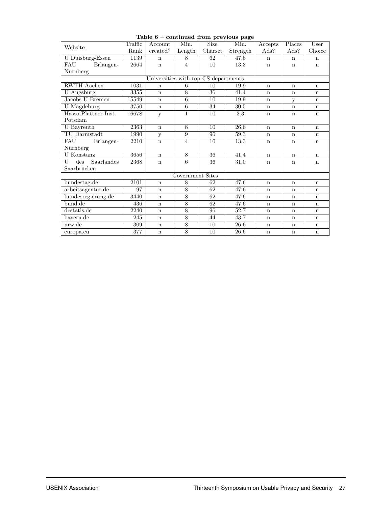|                                            | Traffic           | Account     | Min.                    | Size            | $\sim$<br>Min. | Accepts     | Places      | $\overline{\text{User}}$ |  |  |  |
|--------------------------------------------|-------------------|-------------|-------------------------|-----------------|----------------|-------------|-------------|--------------------------|--|--|--|
| Website                                    | Rank              | created?    | Length                  | Charset         | Strength       | Ads?        | Ads?        | Choice                   |  |  |  |
| U Duisburg-Essen                           | 1139              | $\mathbf n$ | 8                       | 62              | 47,6           | n           | $\mathbf n$ | $\mathbf n$              |  |  |  |
| Erlangen-<br>FAU                           | $\overline{2664}$ | $\mathbf n$ | $\overline{4}$          | 10              | 13,3           | $\mathbf n$ | $\mathbf n$ | $\mathbf n$              |  |  |  |
| Nürnberg                                   |                   |             |                         |                 |                |             |             |                          |  |  |  |
| Universities with top CS departments       |                   |             |                         |                 |                |             |             |                          |  |  |  |
| <b>RWTH</b> Aachen                         | 1031              | $\mathbf n$ | 6                       | 10              | 19.9           | $\mathbf n$ | $\mathbf n$ | $\mathbf n$              |  |  |  |
| <b>U</b> Augsburg                          | 3355              | $\mathbf n$ | 8                       | 36              | 41,4           | $\mathbf n$ | $\mathbf n$ | $\mathbf n$              |  |  |  |
| Jacobs U Bremen                            | 15549             | $\mathbf n$ | $6\overline{6}$         | 10              | 19,9           | $\mathbf n$ | y           | $\mathbf n$              |  |  |  |
| <b>U</b> Magdeburg                         | 3750              | $\mathbf n$ | $\overline{6}$          | 34              | 30,5           | $\mathbf n$ | $\mathbf n$ | $\mathbf n$              |  |  |  |
| Hasso-Plattner-Inst.                       | 16678             | У           | 1                       | 10              | 3.3            | $\mathbf n$ | $\mathbf n$ | $\mathbf n$              |  |  |  |
| Potsdam                                    |                   |             |                         |                 |                |             |             |                          |  |  |  |
| U Bayreuth                                 | 2363              | $\mathbf n$ | 8                       | 10              | 26,6           | $\mathbf n$ | $\mathbf n$ | $\mathbf n$              |  |  |  |
| TU Darmstadt                               | 1990              | у           | 9                       | 96              | 59,3           | $\mathbf n$ | $\mathbf n$ | $\mathbf n$              |  |  |  |
| FAU<br>Erlangen-                           | 2210              | $\mathbf n$ | $\overline{4}$          | $\overline{10}$ | 13,3           | n           | n           | $\mathbf n$              |  |  |  |
| Nürnberg                                   |                   |             |                         |                 |                |             |             |                          |  |  |  |
| <b>U</b> Konstanz                          | 3656              | $\mathbf n$ | 8                       | $\overline{36}$ | 41,4           | $\mathbf n$ | $\mathbf n$ | $\mathbf n$              |  |  |  |
| $\overline{\text{des}}$<br>Saarlandes<br>U | 2368              | $\mathbf n$ | 6                       | 36              | 31,0           | $\mathbf n$ | n           | $\mathbf n$              |  |  |  |
| Saarbrücken                                |                   |             |                         |                 |                |             |             |                          |  |  |  |
|                                            |                   |             | <b>Government Sites</b> |                 |                |             |             |                          |  |  |  |
| bundestag.de                               | 2101              | $\mathbf n$ | 8                       | 62              | 47.6           | $\mathbf n$ | $\mathbf n$ | $\mathbf n$              |  |  |  |
| arbeitsagentur.de                          | 97                | $\mathbf n$ | 8                       | 62              | 47,6           | $\mathbf n$ | n           | $\mathbf n$              |  |  |  |
| bundesregierung.de                         | 3440              | $\mathbf n$ | 8                       | 62              | 47,6           | $\mathbf n$ | $\mathbf n$ | $\mathbf n$              |  |  |  |
| bund.de                                    | 436               | $\mathbf n$ | $\overline{8}$          | 62              | 47,6           | $\mathbf n$ | $\mathbf n$ | $\mathbf n$              |  |  |  |
| destatis.de                                | 2240              | $\mathbf n$ | 8                       | 96              | 52,7           | $\mathbf n$ | $\mathbf n$ | $\mathbf n$              |  |  |  |
| bayern.de                                  | 245               | $\mathbf n$ | 8                       | 44              | 43,7           | $\mathbf n$ | $\mathbf n$ | $\mathbf n$              |  |  |  |
| nrw.de                                     | 309               | $\mathbf n$ | 8                       | 10              | 26,6           | $\mathbf n$ | $\mathbf n$ | $\mathbf n$              |  |  |  |
| europa.eu                                  | 377               | $\mathbf n$ | 8                       | 10              | 26,6           | $\mathbf n$ | $\mathbf n$ | $\mathbf n$              |  |  |  |

#### Table 6 – continued from previous page